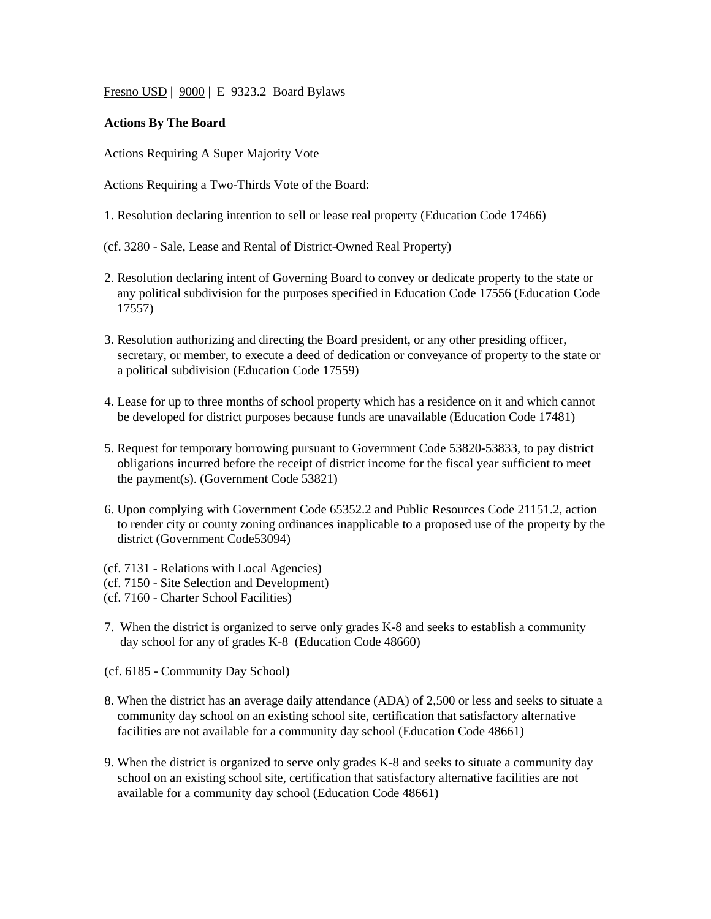Fresno USD | 9000 | E 9323.2 Board Bylaws

## **Actions By The Board**

Actions Requiring A Super Majority Vote

Actions Requiring a Two-Thirds Vote of the Board:

- 1. Resolution declaring intention to sell or lease real property (Education Code 17466)
- (cf. 3280 Sale, Lease and Rental of District-Owned Real Property)
- 2. Resolution declaring intent of Governing Board to convey or dedicate property to the state or any political subdivision for the purposes specified in Education Code 17556 (Education Code 17557)
- 3. Resolution authorizing and directing the Board president, or any other presiding officer, secretary, or member, to execute a deed of dedication or conveyance of property to the state or a political subdivision (Education Code 17559)
- 4. Lease for up to three months of school property which has a residence on it and which cannot be developed for district purposes because funds are unavailable (Education Code 17481)
- 5. Request for temporary borrowing pursuant to Government Code 53820-53833, to pay district obligations incurred before the receipt of district income for the fiscal year sufficient to meet the payment(s). (Government Code 53821)
- 6. Upon complying with Government Code 65352.2 and Public Resources Code 21151.2, action to render city or county zoning ordinances inapplicable to a proposed use of the property by the district (Government Code53094)
- (cf. 7131 Relations with Local Agencies)
- (cf. 7150 Site Selection and Development)
- (cf. 7160 Charter School Facilities)
- 7. When the district is organized to serve only grades K-8 and seeks to establish a community day school for any of grades K-8 (Education Code 48660)
- (cf. 6185 Community Day School)
- 8. When the district has an average daily attendance (ADA) of 2,500 or less and seeks to situate a community day school on an existing school site, certification that satisfactory alternative facilities are not available for a community day school (Education Code 48661)
- 9. When the district is organized to serve only grades K-8 and seeks to situate a community day school on an existing school site, certification that satisfactory alternative facilities are not available for a community day school (Education Code 48661)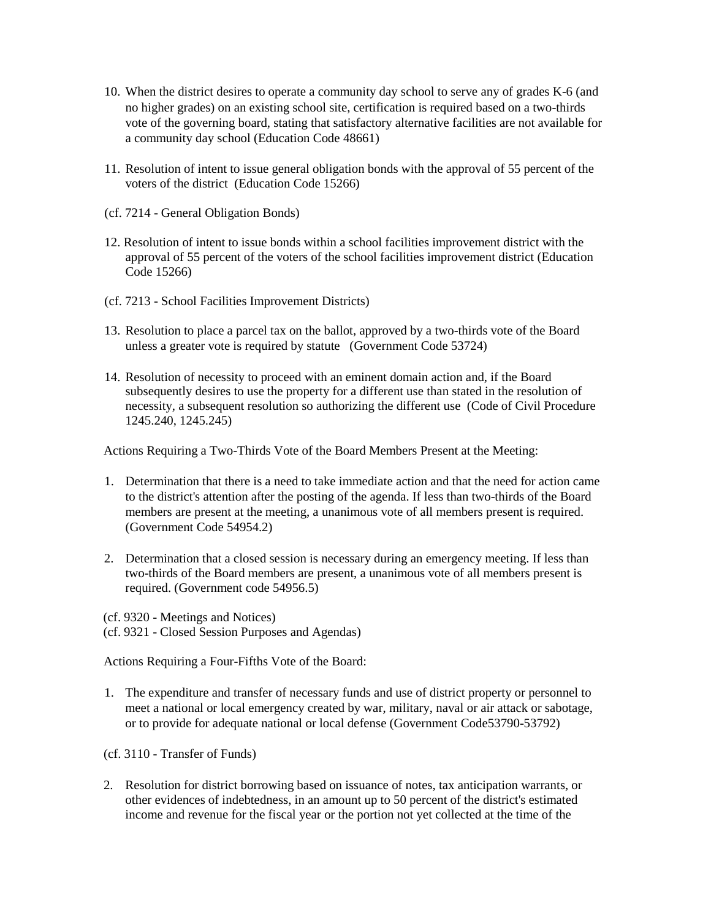- 10. When the district desires to operate a community day school to serve any of grades K-6 (and no higher grades) on an existing school site, certification is required based on a two-thirds vote of the governing board, stating that satisfactory alternative facilities are not available for a community day school (Education Code 48661)
- 11. Resolution of intent to issue general obligation bonds with the approval of 55 percent of the voters of the district (Education Code 15266)
- (cf. 7214 General Obligation Bonds)
- 12. Resolution of intent to issue bonds within a school facilities improvement district with the approval of 55 percent of the voters of the school facilities improvement district (Education Code 15266)
- (cf. 7213 School Facilities Improvement Districts)
- 13. Resolution to place a parcel tax on the ballot, approved by a two-thirds vote of the Board unless a greater vote is required by statute (Government Code 53724)
- 14. Resolution of necessity to proceed with an eminent domain action and, if the Board subsequently desires to use the property for a different use than stated in the resolution of necessity, a subsequent resolution so authorizing the different use (Code of Civil Procedure 1245.240, 1245.245)

Actions Requiring a Two-Thirds Vote of the Board Members Present at the Meeting:

- 1. Determination that there is a need to take immediate action and that the need for action came to the district's attention after the posting of the agenda. If less than two-thirds of the Board members are present at the meeting, a unanimous vote of all members present is required. (Government Code 54954.2)
- 2. Determination that a closed session is necessary during an emergency meeting. If less than two-thirds of the Board members are present, a unanimous vote of all members present is required. (Government code 54956.5)
- (cf. 9320 Meetings and Notices)
- (cf. 9321 Closed Session Purposes and Agendas)

Actions Requiring a Four-Fifths Vote of the Board:

- 1. The expenditure and transfer of necessary funds and use of district property or personnel to meet a national or local emergency created by war, military, naval or air attack or sabotage, or to provide for adequate national or local defense (Government Code53790-53792)
- (cf. 3110 Transfer of Funds)
- 2. Resolution for district borrowing based on issuance of notes, tax anticipation warrants, or other evidences of indebtedness, in an amount up to 50 percent of the district's estimated income and revenue for the fiscal year or the portion not yet collected at the time of the